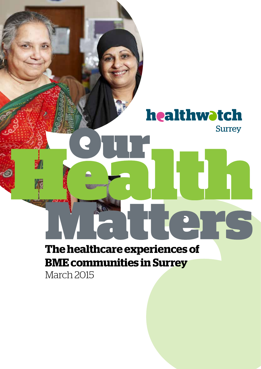# healthwatch **Surrey The healthcare experiences of**

# **BME communities in Surrey**

March 2015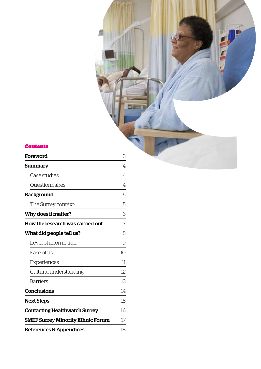#### Contents

| Foreword                                 | 3              |
|------------------------------------------|----------------|
| Summary                                  | 4              |
| Case studies:                            | $\overline{4}$ |
| Questionnaires:                          | 4              |
| <b>Background</b>                        | 5              |
| The Surrey context:                      | 5              |
| Why does it matter?                      | 6              |
| How the research was carried out         | 7              |
| What did people tell us?                 | 8              |
| Level of information                     | 9              |
| Ease of use                              | 10             |
| Experiences                              | 11             |
| Cultural understanding                   | 12             |
| <b>Barriers</b>                          | 13             |
| <b>Conclusions</b>                       | 14             |
| <b>Next Steps</b>                        | 15             |
| <b>Contacting Healthwatch Surrey</b>     | 16             |
| <b>SMEF Surrey Minority Ethnic Forum</b> | 17             |
| References & Appendices                  | 18             |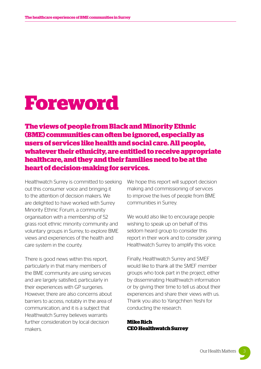# **Foreword**

**The views of people from Black and Minority Ethnic (BME) communities can often be ignored, especially as users of services like health and social care. All people, whatever their ethnicity, are entitled to receive appropriate healthcare, and they and their families need to be at the heart of decision-making for services.** 

Healthwatch Surrey is committed to seeking out this consumer voice and bringing it to the attention of decision makers. We are delighted to have worked with Surrey Minority Ethnic Forum, a community organisation with a membership of 52 grass root ethnic minority community and voluntary groups in Surrey, to explore BME views and experiences of the health and care system in the county.

There is good news within this report, particularly in that many members of the BME community are using services and are largely satisfied, particularly in their experiences with GP surgeries. However, there are also concerns about barriers to access, notably in the area of communication, and it is a subject that Healthwatch Surrey believes warrants further consideration by local decision makers.

We hope this report will support decision making and commissioning of services to improve the lives of people from BME communities in Surrey.

We would also like to encourage people wishing to speak up on behalf of this seldom heard group to consider this report in their work and to consider joining Healthwatch Surrey to amplify this voice.

Finally, Healthwatch Surrey and SMEF would like to thank all the SMEF member groups who took part in the project, either by disseminating Healthwatch information or by giving their time to tell us about their experiences and share their views with us. Thank you also to Yangchhen Yeshi for conducting the research.

**Mike Rich CEO Healthwatch Surrey**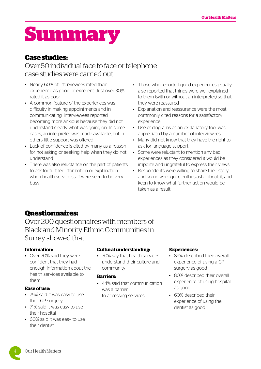# **Summary**

#### **Case studies:**

#### Over 50 individual face to face or telephone case studies were carried out.

- Nearly 60% of interviewees rated their experience as good or excellent. Just over 30% rated it as poor
- A common feature of the experiences was difficulty in making appointments and in communicating. Interviewees reported becoming more anxious because they did not understand clearly what was going on. In some cases, an interpreter was made available, but in others little support was offered
- Lack of confidence is cited by many as a reason for not asking or seeking help when they do not understand
- There was also reluctance on the part of patients to ask for further information or explanation when health service staff were seen to be very busy
- Those who reported good experiences usually also reported that things were well explained to them (with or without an interpreter) so that they were reassured
- Explanation and reassurance were the most commonly cited reasons for a satisfactory experience
- Use of diagrams as an explanatory tool was appreciated by a number of interviewees
- Many did not know that they have the right to ask for language support
- Some were reluctant to mention any bad experiences as they considered it would be impolite and ungrateful to express their views
- Respondents were willing to share their story and some were quite enthusiastic about it, and keen to know what further action would be taken as a result

#### **Questionnaires:**

Over 200 questionnaires with members of Black and Minority Ethnic Communities in Surrey showed that:

#### **Information:**

• Over 70% said they were confident that they had enough information about the health services available to them

#### **Ease of use:**

- 75% said it was easy to use their GP surgery
- 71% said it was easy to use their hospital
- 60% said it was easy to use their dentist

#### **Cultural understanding:**

• 70% say that health services understand their culture and community

#### **Barriers:**

• 44% said that communication was a barrier to accessing services

#### **Experiences:**

- 89% described their overall experience of using a GP surgery as good
- 80% described their overall experience of using hospital as good
- 60% described their experience of using the dentist as good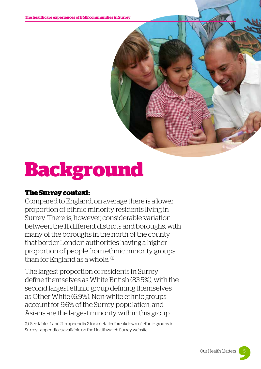# **Background**

#### **The Surrey context:**

Compared to England, on average there is a lower proportion of ethnic minority residents living in Surrey. There is, however, considerable variation between the 11 different districts and boroughs, with many of the boroughs in the north of the county that border London authorities having a higher proportion of people from ethnic minority groups than for England as a whole.<sup>(1)</sup>

The largest proportion of residents in Surrey define themselves as White British (83.5%), with the second largest ethnic group defining themselves as Other White (6.9%). Non-white ethnic groups account for 9.6% of the Surrey population, and Asians are the largest minority within this group.

(1) See tables 1 and 2 in appendix 2 for a detailed breakdown of ethnic groups in Surrey - appendices available on the Healthwatch Surrey website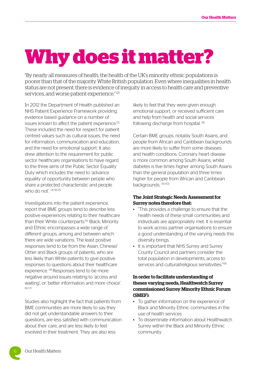# **Why does it matter?**

"By nearly all measures of health, the health of the UK's minority ethnic populations is poorer than that of the majority White British population. Even where inequalities in health status are not present, there is evidence of inequity in access to health care and preventive services, and worse patient experience." (2)

In 2012 the Department of Health published an NHS Patient Experience Framework providing evidence based guidance on a number of issues known to affect the patient experience.<sup>(3)</sup> These included the need for respect for patient centred values such as cultural issues, the need for information, communication and education, and the need for emotional support. It also drew attention to the requirement for public sector healthcare organisations to have regard to the three aims of the Public Sector Equality Duty which includes the need to 'advance equality of opportunity between people who share a protected characteristic and people who do not'.  $(3)(4)(5)$ 

Investigations into the patient experience, report that BME groups tend to describe less positive experiences relating to their healthcare than their White counterparts.<sup>(6)</sup> Black, Minority and Ethnic encompasses a wide range of different groups, among and between which there are wide variations. The least positive responses tend to be from the Asian, Chinese/ Other and Black groups of patients, who are less likely than White patients to give positive responses to questions about their healthcare experience. <sup>(6)</sup> Responses tend to be more negative around issues relating to 'access and waiting', or 'better information and more choice'.  $(6)(7)$ 

Studies also highlight the fact that patients from BME communities are more likely to say they did not get understandable answers to their questions, are less satisfied with communication about their care, and are less likely to feel involved in their treatment. They are also less

likely to feel that they were given enough emotional support, or received sufficient care and help from health and social services following discharge from hospital. <sup>(8)</sup>

Certain BME groups, notably South Asians, and people from African and Caribbean backgrounds are more likely to suffer from some diseases and health conditions. Coronary heart disease is more common among South Asians, whilst diabetes is five times higher among South Asians than the general population and three times higher for people from African and Caribbean backgrounds. (9) (10)

#### The Joint Strategic Needs Assessment for Surrey notes therefore that:

- "This provides a challenge to ensure that the health needs of these small communities and individuals are appropriately met. It is essential to work across partner organisations to ensure a good understanding of the varying needs this diversity brings.
- It is important that NHS Surrey and Surrey County Council and partners consider the total population in developments, access to services and cultural/religious sensitivities."<sup>(9)</sup>

#### In order to facilitate understanding of theses varying needs, Healthwatch Surrey commissioned Surrey Minority Ethnic Forum (SMEF):

- To gather information on the experience of Black and Minority Ethnic communities in the use of health services
- To disseminate information about Healthwatch Surrey within the Black and Minority Ethnic community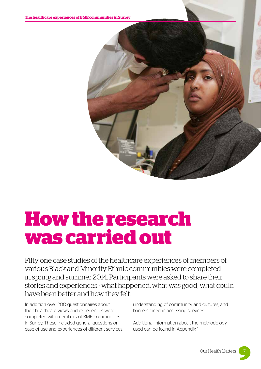

# **How the research was carried out**

Fifty one case studies of the healthcare experiences of members of various Black and Minority Ethnic communities were completed in spring and summer 2014. Participants were asked to share their stories and experiences - what happened, what was good, what could have been better and how they felt.

In addition over 200 questionnaires about their healthcare views and experiences were completed with members of BME communities in Surrey. These included general questions on ease of use and experiences of different services, understanding of community and cultures, and barriers faced in accessing services.

Additional information about the methodology used can be found in Appendix 1.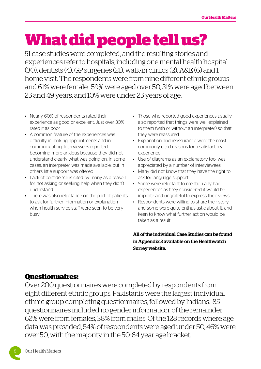# **What did people tell us?**

51 case studies were completed, and the resulting stories and experiences refer to hospitals, including one mental health hospital (30), dentists (4), GP surgeries (21), walk-in clinics (2), A&E (6) and 1 home visit. The respondents were from nine different ethnic groups and 61% were female. 59% were aged over 50, 31% were aged between 25 and 49 years, and 10% were under 25 years of age.

- Nearly 60% of respondents rated their experience as good or excellent. Just over 30% rated it as poor
- A common feature of the experiences was difficulty in making appointments and in communicating. Interviewees reported becoming more anxious because they did not understand clearly what was going on. In some cases, an interpreter was made available, but in others little support was offered
- Lack of confidence is cited by many as a reason for not asking or seeking help when they didn't understand
- There was also reluctance on the part of patients to ask for further information or explanation when health service staff were seen to be very busy
- Those who reported good experiences usually also reported that things were well explained to them (with or without an interpreter) so that they were reassured
- Explanation and reassurance were the most commonly cited reasons for a satisfactory experience
- Use of diagrams as an explanatory tool was appreciated by a number of interviewees
- Many did not know that they have the right to ask for language support
- Some were reluctant to mention any bad experiences as they considered it would be impolite and ungrateful to express their views
- Respondents were willing to share their story and some were quite enthusiastic about it, and keen to know what further action would be taken as a result

All of the individual Case Studies can be found in Appendix 3 available on the Healthwatch Surrey website.

#### **Questionnaires:**

Over 200 questionnaires were completed by respondents from eight different ethnic groups. Pakistanis were the largest individual ethnic group completing questionnaires, followed by Indians. 85 questionnaires included no gender information, of the remainder 62% were from females, 38% from males. Of the 128 records where age data was provided, 54% of respondents were aged under 50, 46% were over 50, with the majority in the 50-64 year age bracket.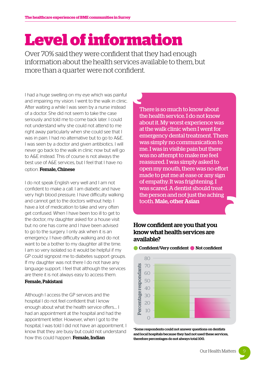# **Level of information**

Over 70% said they were confident that they had enough information about the health services available to them, but more than a quarter were not confident.

I had a huge swelling on my eye which was painful and impairing my vision. I went to the walk in clinic. After waiting a while I was seen by a nurse instead of a doctor. She did not seem to take the case seriously and told me to come back later. I could not understand why she could not attend to me right away particularly when she could see that I was in pain. I had no alternative but to go to A&E. I was seen by a doctor and given antibiotics. I will never go back to the walk in clinic now but will go to A&E instead. This of course is not always the best use of A&E services, but I feel that I have no

#### option. Female, Chinese

I do not speak English very well and I am not confident to make a call. I am diabetic and have very high blood pressure. I have difficulty walking and cannot get to the doctors without help. I have a lot of medication to take and very often get confused. When I have been too ill to get to the doctor, my daughter asked for a house visit but no one has come and I have been advised to go to the surgery. I only ask when it is an emergency. I have difficulty walking and do not want to be a bother to my daughter all the time. I am so very isolated so it would be helpful if my GP could signpost me to diabetes support groups. If my daughter was not there I do not have any language support. I feel that although the services are there it is not always easy to access them.

#### Female, Pakistani

Although I access the GP services and the hospital I do not feel confident that I know enough about what the health service offers…. I had an appointment at the hospital and had the appointment letter. However, when I got to the hospital, I was told I did not have an appointment. I know that they are busy but could not understand how this could happen. Female, Indian

There is so much to know about the health service. I do not know about it. My worst experience was at the walk clinic when I went for emergency dental treatment. There was simply no communication to me. I was in visible pain but there was no attempt to make me feel reassured. I was simply asked to open my mouth, there was no effort made to put me at ease or any sign of empathy. It was frightening. I was scared. A dentist should treat the person and not just the aching tooth. Male, other Asian

#### How confident are you that you know what health services are available?



#### **Confident/Very confident C** Not confident

\*Some respondents could not answer questions on dentists and local hospitals because they had not used these services, therefore percentages do not always total 100.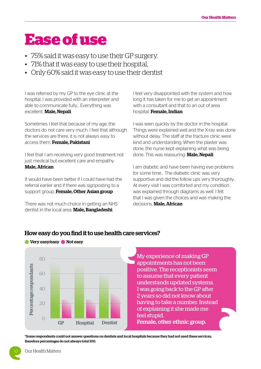### **Ease of use**

- 75% said it was easy to use their GP surgery.
- 71% that it was easy to use their hospital,
- Only 60% said it was easy to use their dentist

I was referred by my GP to the eye clinic at the hospital, I was provided with an interpreter and able to communicate fully… Everything was excellent. Male, Nepali

Sometimes I feel that because of my age, the doctors do not care very much. I feel that although the services are there, it is not always easy to access them. Female, Pakistani

I feel that I am receiving very good treatment not just medical but excellent care and empathy. Male, African

It would have been better if I could have had the referral earlier and if there was signposting to a support group. Female, Other Asian group

There was not much choice in getting an NHS dentist in the local area. Male, Bangladeshi

I feel very disappointed with the system and how long it has taken for me to get an appointment with a consultant and that to an out of area hospital. Female, Indian

I was seen quickly by the doctor in the hospital. Things were explained well and the X-ray was done without delay. The staff at the fracture clinic were kind and understanding. When the plaster was done, the nurse kept explaining what was being done. This was reassuring. Male, Nepali

I am diabetic and have been having eye problems for some time… The diabetic clinic was very supportive and did the follow ups very thoroughly… At every visit I was comforted and my condition was explained through diagrams as well. I felt that I was given the choices and was making the decisions. **Male, African** 



#### How easy do you find it to use health care services?

My experience of making GP appointments has not been positive. The receptionists seem to assume that every patient understands updated systems. I was going back to the GP after 2 years so did not know about having to take a number. Instead of explaining it she made me feel stupid. Female, other ethnic group.

\*Some respondents could not answer questions on dentists and local hospitals because they had not used these services, therefore percentages do not always total 100.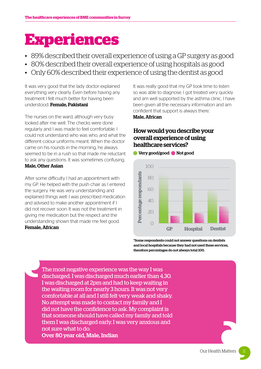# **Experiences**

- 89% described their overall experience of using a GP surgery as good
- 80% described their overall experience of using hospitals as good
- Only 60% described their experience of using the dentist as good

It was very good that the lady doctor explained everything very clearly. Even before having any treatment I felt much better for having been understood. Female, Pakistani

The nurses on the ward, although very busy looked after me well. The checks were done regularly and I was made to feel comfortable. I could not understand who was who, and what the different colour uniforms meant. When the doctor came on his rounds in the morning, he always seemed to be in a rush so that made me reluctant to ask any questions. It was sometimes confusing. Male, Other Asian

After some difficulty I had an appointment with my GP. He helped with the push chair as I entered the surgery. He was very understanding and explained things well. I was prescribed medication and advised to make another appointment if I did not recover soon. It was not the treatment in giving me medication but the respect and the understanding shown that made me feel good. Female, African

It was really good that my GP took time to listen so was able to diagnose. I got treated very quickly and am well supported by the asthma clinic. I have been given all the necessary information and am confident that support is always there. Male, African

#### How would you describe your overall experience of using healthcare services?

l Very good/good la Not good



\*Some respondents could not answer questions on dentists and local hospitals because they had not used these services, therefore percentages do not always total 100.

The most negative experience was the way I was discharged. I was discharged much earlier than 4.30. I was discharged at 2pm and had to keep waiting in the waiting room for nearly 3 hours. It was not very comfortable at all and I still felt very weak and shaky. No attempt was made to contact my family and I did not have the confidence to ask. My complaint is that someone should have called my family and told them I was discharged early. I was very anxious and not sure what to do. Over 80 year old, Male, Indian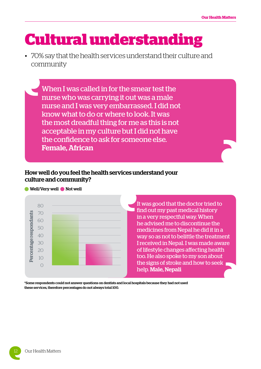### **Cultural understanding**

• 70% say that the health services understand their culture and community

When I was called in for the smear test the nurse who was carrying it out was a male nurse and I was very embarrassed. I did not know what to do or where to look. It was the most dreadful thing for me as this is not acceptable in my culture but I did not have the confidence to ask for someone else. Female, African

#### How well do you feel the health services understand your culture and community?



It was good that the doctor tried to find out my past medical history in a very respectful way. When he advised me to discontinue the medicines from Nepal he did it in a way so as not to belittle the treatment I received in Nepal. I was made aware of lifestyle changes affecting health too. He also spoke to my son about the signs of stroke and how to seek help. Male, Nepali

\*Some respondents could not answer questions on dentists and local hospitals because they had not used these services, therefore percentages do not always total 100.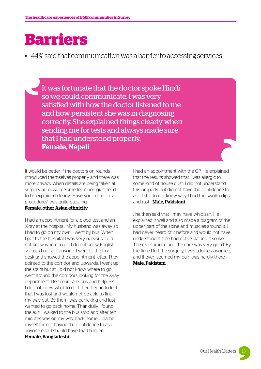### **Barriers**

• 44% said that communication was a barrier to accessing services

It was fortunate that the doctor spoke Hindi so we could communicate. I was very satisfied with how the doctor listened to me and how persistent she was in diagnosing correctly. She explained things clearly when sending me for tests and always made sure that I had understood properly. Female, Nepali

It would be better if the doctors on rounds introduced themselves properly and there was more privacy when details are being taken at surgery admission. Some terminologies need to be explained clearly, 'Have you come for a procedure?' was quite puzzling.

#### Female, other Asian ethnicity

I had an appointment for a blood test and an X-ray at the hospital. My husband was away so I had to go on my own. I went by bus. When I got to the hospital I was very nervous. I did not know where to go. I do not know English so could not ask anyone. I went to the front desk and showed the appointment letter. They pointed to the corridor and upwards. I went up the stairs but still did not know where to go. I went around the corridors looking for the X-ray department. I felt more anxious and helpless. I did not know what to do. I then began to feel that I was lost and would not be able to find my way out. By then I was panicking and just wanted to go back home. Thankfully I found the exit. I walked to the bus stop and after ten minutes was on my way back home. I blame myself for not having the confidence to ask anyone else. I should have tried harder. Female, Bangladeshi

I had an appointment with the GP. He explained that the results showed that I was allergic to some kind of house dust. I did not understand this properly but did not have the confidence to ask. I still do not know why I had the swollen lips and rash. Male, Pakistani

…he then said that I may have whiplash. He explained it well and also made a diagram of the upper part of the spine and muscles around it. I had never heard of it before and would not have understood it if he had not explained it so well. The reassurance and the care was very good. By the time I left the surgery, I was a lot less worried, and it even seemed my pain was hardly there. Male, Pakistani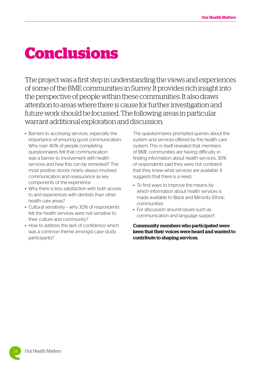### **Conclusions**

The project was a first step in understanding the views and experiences of some of the BME communities in Surrey. It provides rich insight into the perspective of people within these communities. It also draws attention to areas where there is cause for further investigation and future work should be focussed. The following areas in particular warrant additional exploration and discussion:

- Barriers to accessing services, especially the importance of ensuring good communication. Why over 40% of people completing questionnaires felt that communication was a barrier to involvement with health services and how this can be remedied? The most positive stories nearly always involved communication and reassurance as key components of the experience
- Why there is less satisfaction with both access to and experiences with dentists than other health care areas?
- Cultural sensitivity why 30% of respondents felt the health services were not sensitive to their culture and community?
- How to address the lack of confidence which was a common theme amongst case study participants?

The questionnaires prompted queries about the system and services offered by the health care system. This in itself revealed that members of BME communities are having difficulty in finding information about health services. 30% of respondents said they were not confident that they knew what services are available. It suggests that there is a need:

- To find ways to improve the means by which information about health services is made available to Black and Minority Ethnic communities
- For discussion around issues such as communication and language support

Community members who participated were keen that their voices were heard and wanted to contribute to shaping services.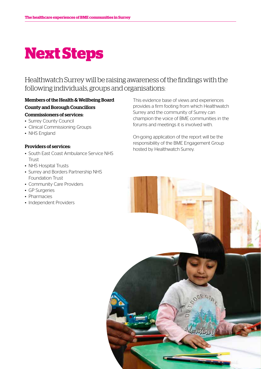# **Next Steps**

#### Healthwatch Surrey will be raising awareness of the findings with the following individuals, groups and organisations:

#### Members of the Health & Wellbeing Board County and Borough Councillors

#### Commissioners of services:

- Surrey County Council
- Clinical Commissioning Groups
- NHS England

#### Providers of services:

- South East Coast Ambulance Service NHS Trust
- NHS Hospital Trusts
- Surrey and Borders Partnership NHS Foundation Trust
- Community Care Providers
- GP Surgeries
- Pharmacies
- Independent Providers

This evidence base of views and experiences provides a firm footing from which Healthwatch Surrey and the community of Surrey can champion the voice of BME communities in the forums and meetings it is involved with.

On-going application of the report will be the responsibility of the BME Engagement Group hosted by Healthwatch Surrey.

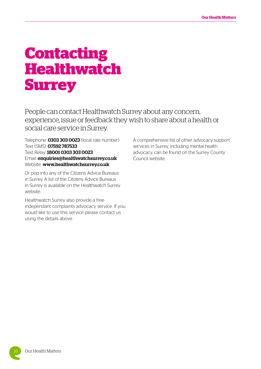### **Contacting Healthwatch Surrey**

People can contact Healthwatch Surrey about any concern, experience, issue or feedback they wish to share about a health or social care service in Surrey.

Telephone: **0303 303 0023** (local rate number) Text (SMS): 07592 787533 Text Relay: 18001 0303 303 0023 Email: [enquiries@healthwatchsurrey.co.uk](mailto:enquiries@healthwatchsurrey.co.uk) Website: <www.healthwatchsurrey.co.uk>

Or pop into any of the Citizens Advice Bureaux in Surrey. A list of the Citizens Advice Bureaux in Surrey is available on the Healthwatch Surrey website.

Healthwatch Surrey also provide a free independant complaints advocacy service. If you would like to use this service please contact us using the details above

A comprehensive list of other advocacy support services in Surrey, including mental health advocacy, can be found on the Surrey County Council website.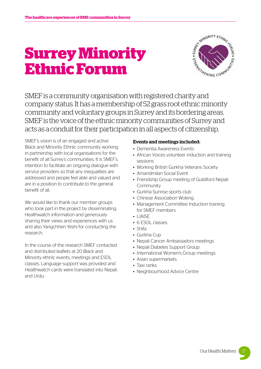# **Surrey Minority Ethnic Forum**



SMEF is a community organisation with registered charity and company status. It has a membership of 52 grass root ethnic minority community and voluntary groups in Surrey and its bordering areas. SMEF is the voice of the ethnic minority communities of Surrey and acts as a conduit for their participation in all aspects of citizenship.

SMEF's vision is of an engaged and active Black and Minority Ethnic community working in partnership with local organisations for the benefit of all Surrey's communities. It is SMEF's intention to facilitate an ongoing dialogue with service providers so that any inequalities are addressed and people feel able and valued and are in a position to contribute to the general benefit of all.

We would like to thank our member groups who took part in the project by disseminating Healthwatch information and generously sharing their views and experiences with us and also Yangchhen Yeshi for conducting the research.

In the course of the research SMEF contacted and distributed leaflets at 20 Black and Minority ethnic events, meetings and ESOL classes. Language support was provided and Healthwatch cards were translated into Nepali and Urdu.

#### Events and meetings included:

- Dementia Awareness Events
- African Voices volunteer induction and training sessions
- Working British Gurkha Veterans Society
- Amandmilan Social Event
- Friendship Group meeting of Guildford Nepali Community
- Gurkha Sunrise sports club
- Chinese Association Woking
- Management Committee Induction training for SMEF members
- LIAISE
- 6 ESOL classes
- Shifa
- Gurkha Cup
- Nepali Cancer Ambassadors meetings
- Nepali Diabetes Support Group
- International Women's Group meetings
- Asian supermarkets
- Taxi ranks
- Neighbourhood Advice Centre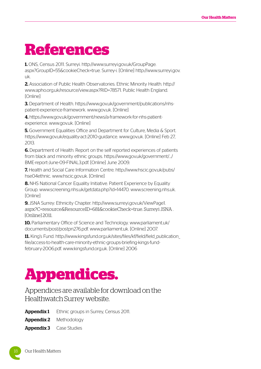### **References**

1. ONS, Census 2011. Surreyi. [http://www.surreyi.gov.uk/GroupPage.](http://www.surreyi.gov.uk/GroupPage.aspx?GroupID=55&cookieCheck=true.) [aspx?GroupID=55&cookieCheck=true.](http://www.surreyi.gov.uk/GroupPage.aspx?GroupID=55&cookieCheck=true.) Surrey-i. [Online] [http://www.surreyi.gov.](http://www.surreyi.gov.uk) [uk](http://www.surreyi.gov.uk).

2. Association of Public Health Observatories. Ethnic Minority Health. [http://](http://www.apho.org.uk/resource/view.aspx?RID=78571.) [www.apho.org.uk/resource/view.aspx?RID=78571.](http://www.apho.org.uk/resource/view.aspx?RID=78571.) Public Health England. [Online]

3. Department of Health.<https://www.gov.uk/government/publications/nhs>patient-experience-framework. <www.gov.uk>. [Online]

4. [https://www.gov.uk/government/news/](https://www.gov.uk/government/news)a-framework-for-nhs-patientexperience. <www.gov.uk>. [Online]

**5.** Government Equalities Office and Department for Culture, Media & Sport. <https://www.gov.uk/equality>-act-2010-guidance. <www.gov.uk>. [Online] Feb 27, 2013.

6. Department of Health. Report on the self reported experiences of patients from black and minority ethnic groups. [https://www.gov.uk/government/](https://www.gov.uk/government).../ [BME-report-June-09-FINAL3.pdf.](BME-report-June-09-FINAL3.pdf) [Online] June 2009.

7. Health and Social Care Information Centre. [http://www.hscic.gov.uk/pubs/](http://www.hscic.gov.uk/pubs/hse04ethnic) [hse04ethnic.](http://www.hscic.gov.uk/pubs/hse04ethnic) [www.hscic.gov.uk.](www.hscic.gov.uk) [Online]

8. NHS National Cancer Equality Initiative. Patient Experience by Equality Group. [www.screening.nhs.uk/getdata.php?](www.screening.nhs.uk/getdata.php)id=14470. <www.screening.nhs.uk>. [Online]

9. JSNA Surrey: Ethnicity Chapter. [http://www.surreyi.gov.uk/ViewPage1.](http://www.surreyi.gov.uk/ViewPage1.aspx?C=resource&ResourceID=681&cookieCheck=true.) [aspx?C=resource&ResourceID=681&cookieCheck=true.](http://www.surreyi.gov.uk/ViewPage1.aspx?C=resource&ResourceID=681&cookieCheck=true.) Surreyi JSNA . [Online] 2011.

10. Parliamentary Office of Science and Technology. [www.parliament.uk/](www.parliament.uk/documents/post/postpn276.pdf) [documents/post/postpn276.pdf.](www.parliament.uk/documents/post/postpn276.pdf) <www.parliament.uk>. [Online] 2007.

11. King's Fund. [http://www.kingsfund.org.uk/sites/files/kf/field/field\\_publication\\_](http://www.kingsfund.org.uk/sites/files/kf/field/field_publication_file/access-to-health-care-minority-ethnic-groups-briefing-kings-fund-february-2006.pdf) [file/access-to-health-care-minority-ethnic-groups-briefing-kings-fund](http://www.kingsfund.org.uk/sites/files/kf/field/field_publication_file/access-to-health-care-minority-ethnic-groups-briefing-kings-fund-february-2006.pdf)[february-2006.pdf.](http://www.kingsfund.org.uk/sites/files/kf/field/field_publication_file/access-to-health-care-minority-ethnic-groups-briefing-kings-fund-february-2006.pdf) <www.kingsfund.org.uk>. [Online] 2006

## **Appendices.**

#### Appendices are available for download on the Healthwatch Surrey website.

Appendix 1 Ethnic groups in Surrey, Census 2011.

**Appendix 2** Methodology

**Appendix 3** Case Studies